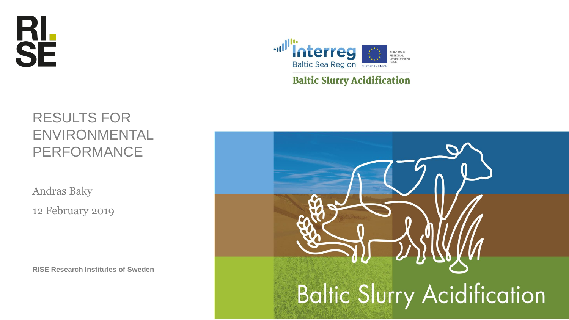



#### **Baltic Slurry Acidification**

#### RESULTS FOR ENVIRONMENTAL PERFORMANCE

Andras Baky

12 February 2019

**RISE Research Institutes of Sweden**

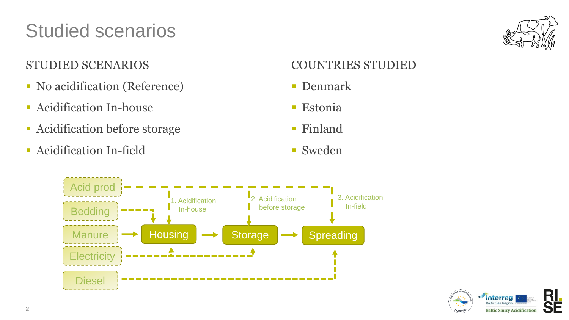## Studied scenarios



#### STUDIED SCENARIOS

- No acidification (Reference)
- **Exercise 12** Acidification In-house
- Acidification before storage
- **Exercise 1 Acidification In-field**

#### COUNTRIES STUDIED

- Denmark
- **Estonia**
- Finland
- Sweden



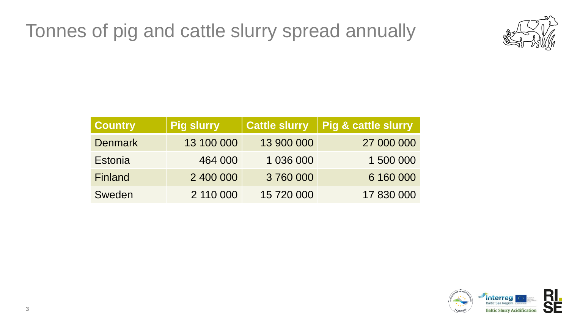### Tonnes of pig and cattle slurry spread annually



| <b>Country</b> | <b>Pig slurry</b> | <b>Cattle slurry</b> | Pig & cattle slurry |
|----------------|-------------------|----------------------|---------------------|
| <b>Denmark</b> | 13 100 000        | 13 900 000           | 27 000 000          |
| Estonia        | 464 000           | 1 036 000            | 1 500 000           |
| <b>Finland</b> | 2 400 000         | 3760000              | 6 160 000           |
| Sweden         | 2 110 000         | 15 720 000           | 17 830 000          |

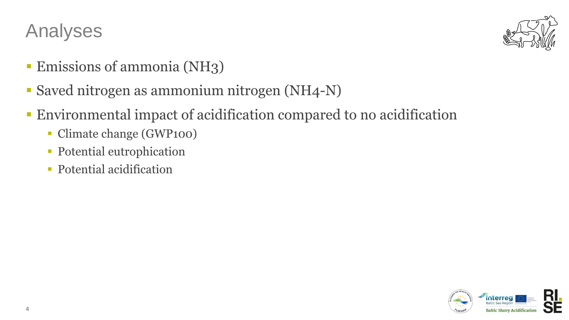### Analyses



- **Emissions of ammonia (NH3)**
- Saved nitrogen as ammonium nitrogen (NH4-N)
- **Environmental impact of acidification compared to no acidification** 
	- Climate change (GWP100)
	- **Potential eutrophication**
	- **Potential acidification**

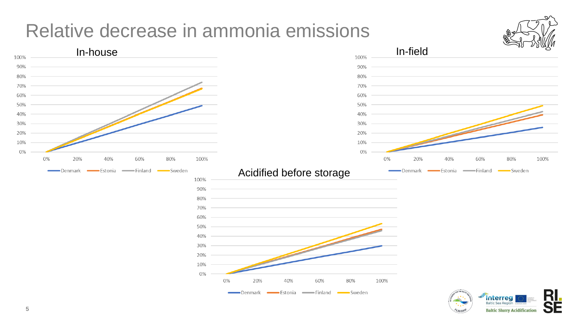#### Relative decrease in ammonia emissions



**Baltic Sea Region** 

**Baltic Slurry Acidification** 

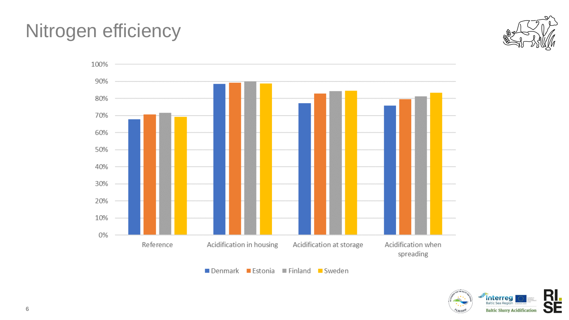### Nitrogen efficiency







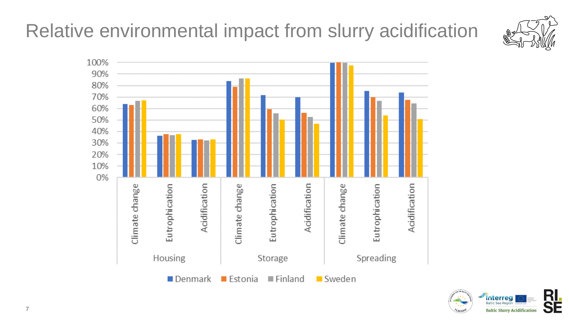# Relative environmental impact from slurry acidification